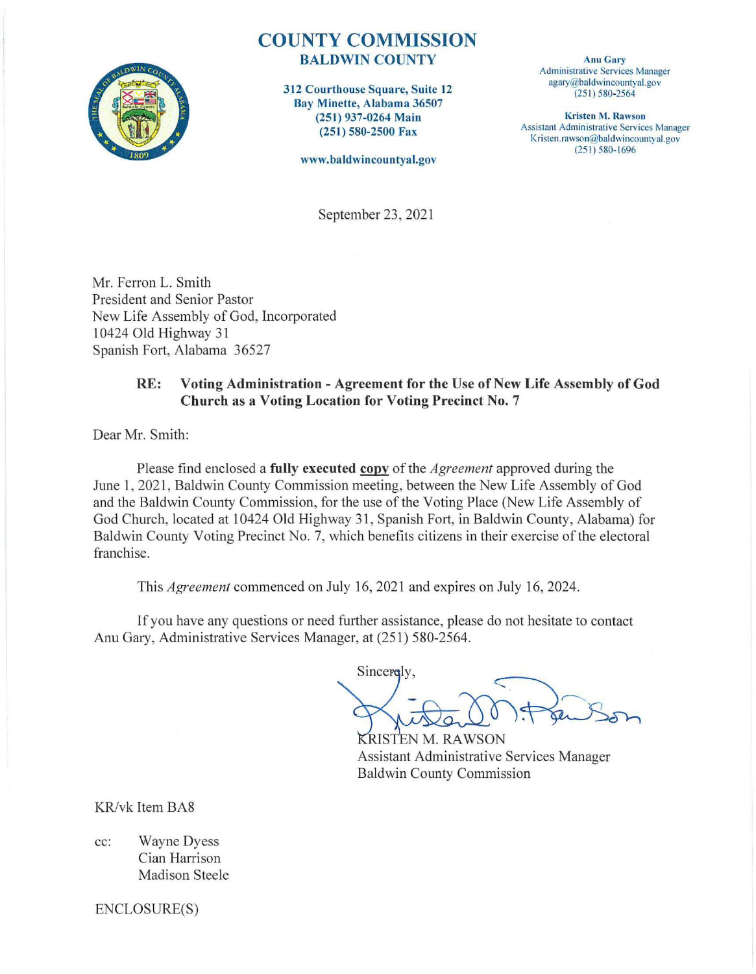

## COUNTY COMMISSION BALDWIN COUNTY

312 Courthouse Square, Suite 12 Bay Minette, Alabama 36507 (251 ) 937-0264 Main (251 ) 580-2500 Fax

www.baldwincountyal.gov

Anu Gary Administrative Services Manager agary@baldwincountyal.gov (25 1) 580-2564

Kristen M. Rawson Assistant Administrative Services Manager Kristen.rawson@baldwincountyal.gov (25 I) 580-1696

September 23, 2021

Mr. Ferron L. Smith President and Senior Pastor New Life Assembly of God, Incorporated 10424 Old Highway 31 Spanish Fort, Alabama 36527

## RE: Voting Administration - Agreement for the Use of New Life Assembly of God Church as a Voting Location for Voting Precinct No. 7

Dear Mr. Smith:

Please find enclosed a **fully executed copy** of the *Agreement* approved during the June 1, 2021, Baldwin County Commission meeting, between the New Life Assembly of God and the Baldwin County Commission, for the use of the Voting Place (New Life Assembly of God Church, located at 10424 Old Highway 31, Spanish Fort, in Baldwin County, Alabama) for Baldwin County Voting Precinct No. 7, which benefits citizens in their exercise of the electoral franchise.

This *Agreement* commenced on July 16, 2021 and expires on July 16, 2024.

If you have any questions or need further assistance, please do not hesitate to contact Anu Gary, Administrative Services Manager, at (251) 580-2564.

Sincerely,

KRISTEN M. RAWSON Assistant Administrative Services Manager **Baldwin County Commission** 

KR/vk Item BA8

cc: Wayne Dyess Cian Harrison Madison Steele

ENCLOSURE(S)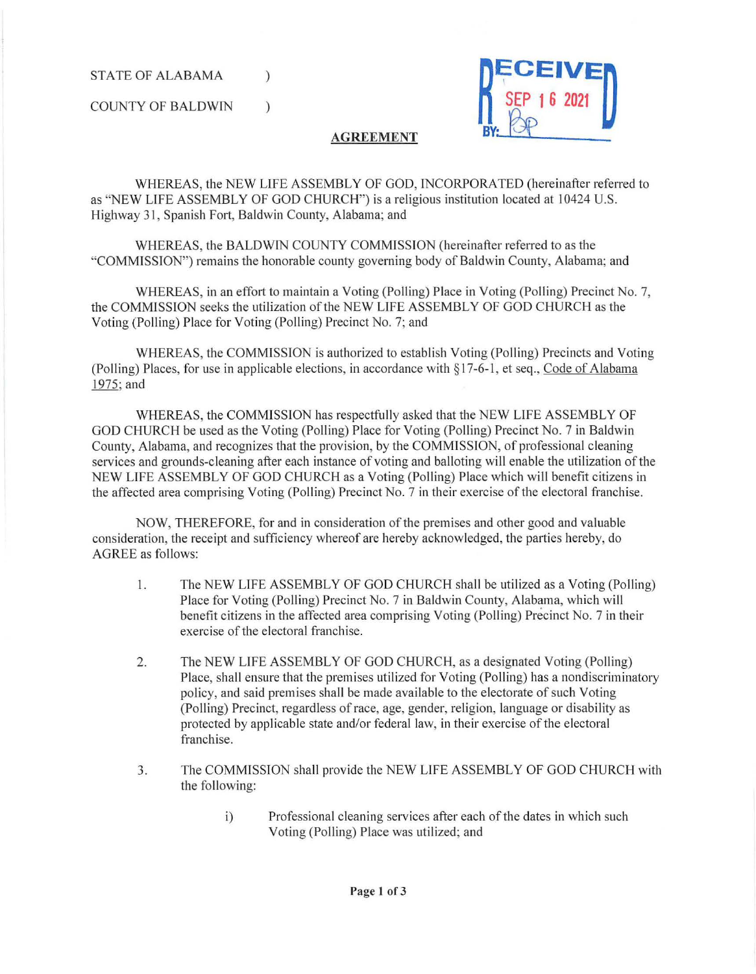STATE OF ALABAMA

COUNTY OF BALDWIN )

)



## **AGREEMENT**

WHEREAS, the NEW LIFE ASSEMBLY OF GOD, INCORPORATED (hereinafter referred to as "NEW LIFE ASSEMBLY OF GOD CHURCH") is a religious institution located at I 0424 U.S. Highway 31, Spanish Fort, Baldwin County, Alabama; and

WHEREAS, the BALDWIN COUNTY COMMISSION (hereinafter referred to as the "COMMISSION") remains the honorable county governing body of Baldwin County, Alabama; and

WHEREAS, in an effort to maintain a Voting (Polling) Place in Voting (Polling) Precinct No. 7, the COMM1SSION seeks the utilization of the NEW LIFE ASSEMBLY OF GOD CHURCH as the Voting (Polling) Place for Voting (Polling) Precinct No. 7; and

WHEREAS, the COMMISSION is authorized to establish Voting (Polling) Precincts and Voting (Polling) Places, for use in applicable elections, in accordance with  $\S17-6-1$ , et seq., Code of Alabama 1975;and

WHEREAS, the COMMISSION has respectfully asked that the NEW LIFE ASSEMBLY OF GOD CHURCH be used as the Voting (Polling) Place for Voting (Polling) Precinct No. 7 in Baldwin County, Alabama, and recognizes that the provision, by the COMMISSION, of professional cleaning services and grounds-cleaning after each instance of voting and balloting will enable the utilization of the NEW LIFE ASSEMBLY OF GOD CHURCH as a Voting (Polling) Place which will benefit citizens in the affected area comprising Voting (Polling) Precinct No. 7 in their exercise of the electoral franchise.

NOW, THEREFORE, for and in consideration of the premises and other good and valuable consideration, the receipt and sufficiency whereof are hereby acknowledged, the parties hereby, do AGREE as follows:

- 1. The NEW LIFE ASSEMBLY OF GOD CHURCH shall be utilized as a Voting (Polling) Place for Voting (Polling) Precinct No. 7 in Baldwin County, Alabama, which will benefit citizens in the affected area comprising Voting (Polling) Precinct No. 7 in their exercise of the electoral franchise.
- 2. The NEW LIFE ASSEMBLY OF GOD CHURCH, as a designated Voting (Polling) Place, shall ensure that the premises utilized for Voting (Polling) has a nondiscriminatory policy, and said premises shall be made available to the electorate of such Voting (Polling) Precinct, regardless of race, age, gender, religion, language or disability as protected by applicable state and/or federal law, in their exercise of the electoral franchise.
- 3. The COMMISSION shall provide the NEW LIFE ASSEMBLY OF GOD CHURCH with the following:
	- i) Professional cleaning services after each of the dates in which such Voting (Polling) Place was utilized; and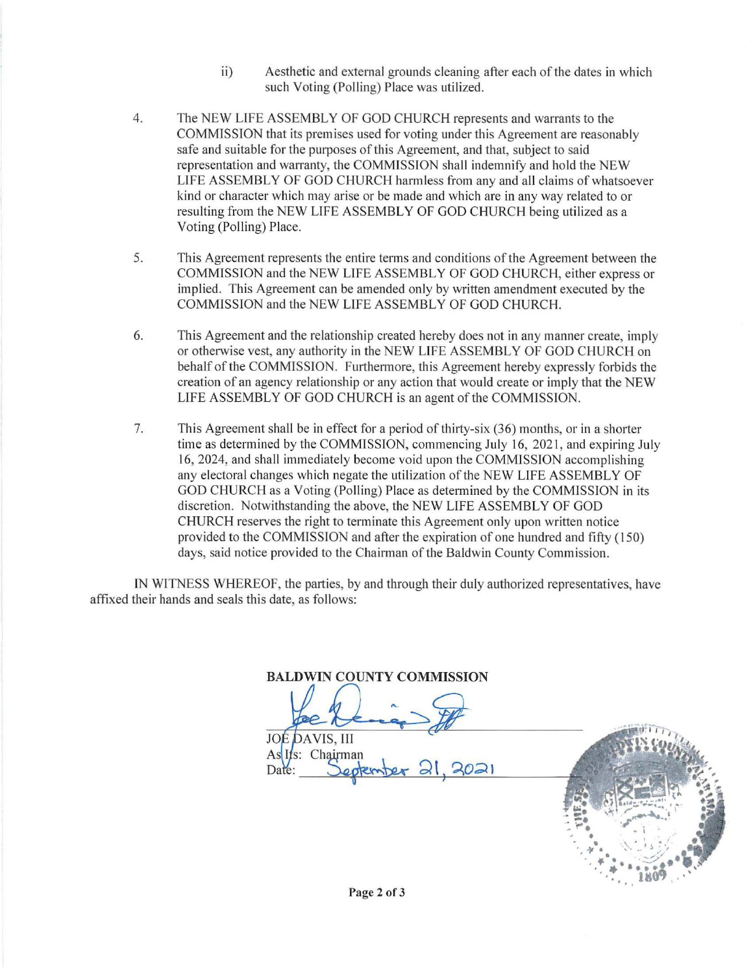- ii) Aesthetic and external grounds cleaning after each of the dates in which such Voting (Polling) Place was utilized.
- 4. The NEW LIFE ASSEMBLY OF GOD CHURCH represents and warrants to the COMMISSION that its premises used for voting under this Agreement are reasonably safe and suitable for the purposes of this Agreement, and that, subject to said representation and warranty, the COMMISSION shall indemnify and hold the NEW LIFE ASSEMBLY OF GOD CHURCH harmless from any and all claims of whatsoever kind or character which may arise or be made and which are in any way related to or resulting from the NEW LIFE ASSEMBLY OF GOD CHURCH being utilized as a Voting (Polling) Place.
- 5. This Agreement represents the entire terms and conditions of the Agreement between the COMMISSION and the NEW LIFE ASSEMBLY OF GOD CHURCH, either express or implied. This Agreement can be amended only by written amendment executed by the COMMISSION and the NEW LIFE ASSEMBLY OF GOD CHURCH.
- 6. This Agreement and the relationship created hereby does not in any manner create, imply or otherwise vest, any authority in the NEW LIFE ASSEMBLY OF GOD CHURCH on behalf of the COMMISSION. Furthermore, this Agreement hereby expressly forbids the creation of an agency relationship or any action that would create or imply that the NEW LIFE ASSEMBLY OF GOD CHURCH is an agent of the COMMISSION.
- 7. This Agreement shall be in effect for a period of thirty-six (36) months, or in a shorter time as determined by the COMMISSION, commencing July 16, 2021, and expiring July 16, 2024, and shall immediately become void upon the COMMISSION accomplishing any electoral changes which negate the utilization of the NEW LIFE ASSEMBLY OF GOD CHURCH as a Voting (Polling) Place as detennined by the COMMISSION in its discretion. Notwithstanding the above, the NEW LIFE ASSEMBLY OF GOD CHURCH reserves the right to terminate this Agreement only upon written notice provided to the COMMISSION and after the expiration of one hundred and fifty ( 150) days, said notice provided to the Chairman of the Baldwin County Commission.

IN WITNESS WHEREOF, the parties, by and through their duly authorized representatives, have affixed their hands and seals this date, as follows:

**BALDWIN COUNTY COMMISSION** 

**DAVIS, III**  $IO$ As Its: Chairman

Date